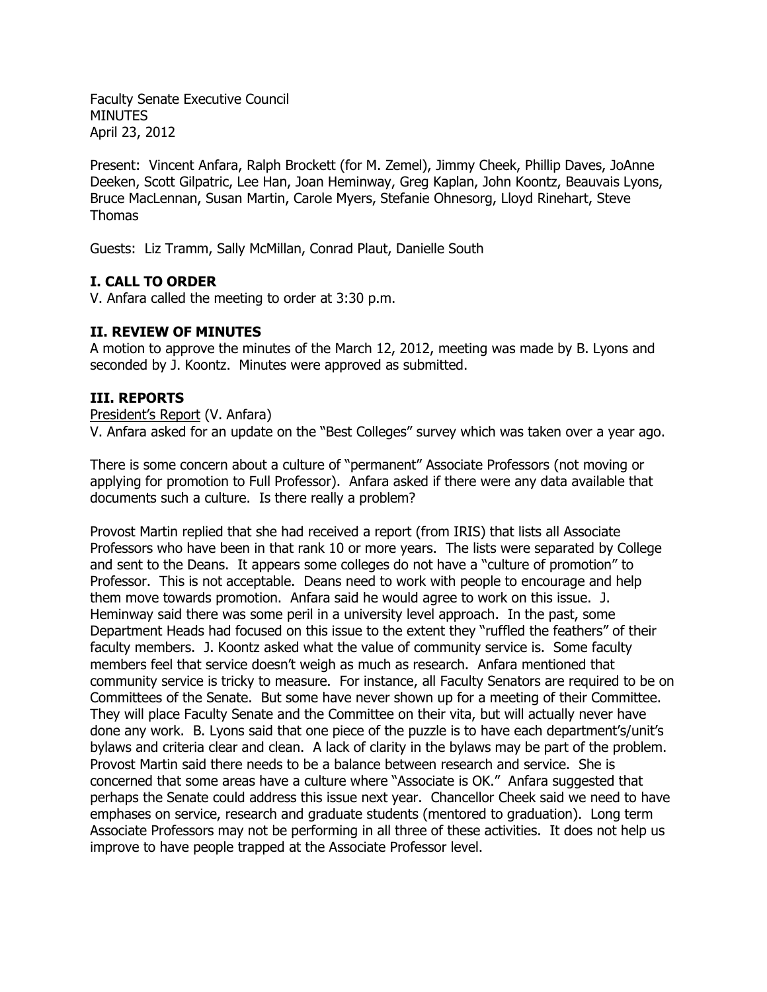Faculty Senate Executive Council MINUTES April 23, 2012

Present: Vincent Anfara, Ralph Brockett (for M. Zemel), Jimmy Cheek, Phillip Daves, JoAnne Deeken, Scott Gilpatric, Lee Han, Joan Heminway, Greg Kaplan, John Koontz, Beauvais Lyons, Bruce MacLennan, Susan Martin, Carole Myers, Stefanie Ohnesorg, Lloyd Rinehart, Steve Thomas

Guests: Liz Tramm, Sally McMillan, Conrad Plaut, Danielle South

# **I. CALL TO ORDER**

V. Anfara called the meeting to order at 3:30 p.m.

### **II. REVIEW OF MINUTES**

A motion to approve the minutes of the March 12, 2012, meeting was made by B. Lyons and seconded by J. Koontz. Minutes were approved as submitted.

## **III. REPORTS**

#### President's Report (V. Anfara)

V. Anfara asked for an update on the "Best Colleges" survey which was taken over a year ago.

There is some concern about a culture of "permanent" Associate Professors (not moving or applying for promotion to Full Professor). Anfara asked if there were any data available that documents such a culture. Is there really a problem?

Provost Martin replied that she had received a report (from IRIS) that lists all Associate Professors who have been in that rank 10 or more years. The lists were separated by College and sent to the Deans. It appears some colleges do not have a "culture of promotion" to Professor. This is not acceptable. Deans need to work with people to encourage and help them move towards promotion. Anfara said he would agree to work on this issue. J. Heminway said there was some peril in a university level approach. In the past, some Department Heads had focused on this issue to the extent they "ruffled the feathers" of their faculty members. J. Koontz asked what the value of community service is. Some faculty members feel that service doesn't weigh as much as research. Anfara mentioned that community service is tricky to measure. For instance, all Faculty Senators are required to be on Committees of the Senate. But some have never shown up for a meeting of their Committee. They will place Faculty Senate and the Committee on their vita, but will actually never have done any work. B. Lyons said that one piece of the puzzle is to have each department's/unit's bylaws and criteria clear and clean. A lack of clarity in the bylaws may be part of the problem. Provost Martin said there needs to be a balance between research and service. She is concerned that some areas have a culture where "Associate is OK." Anfara suggested that perhaps the Senate could address this issue next year. Chancellor Cheek said we need to have emphases on service, research and graduate students (mentored to graduation). Long term Associate Professors may not be performing in all three of these activities. It does not help us improve to have people trapped at the Associate Professor level.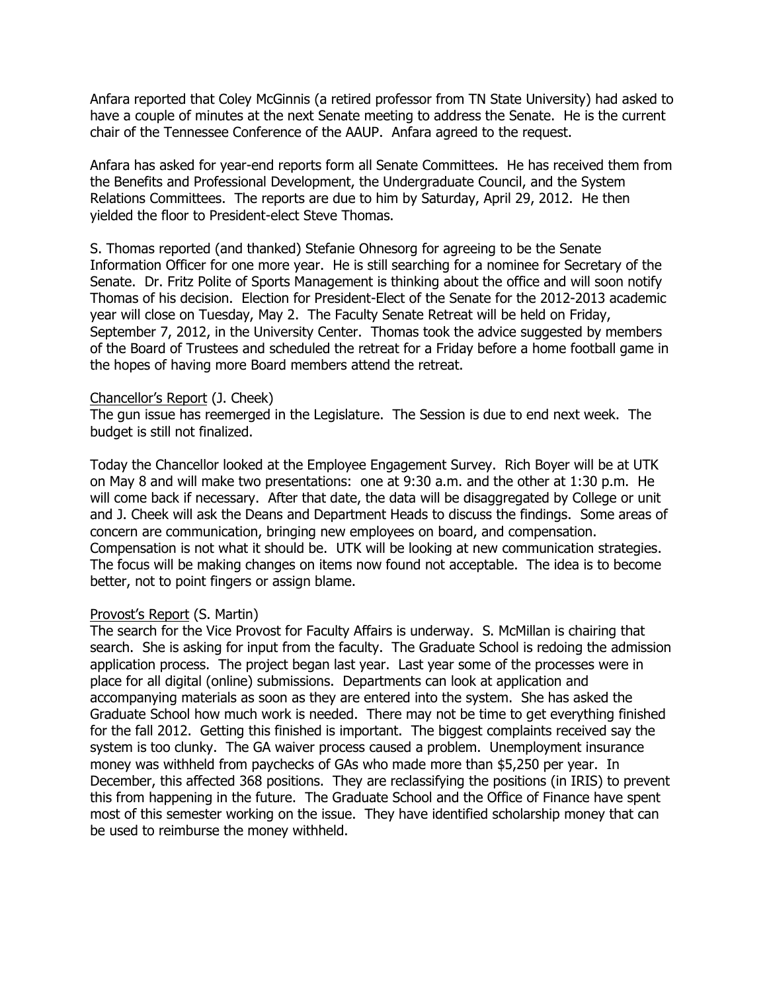Anfara reported that Coley McGinnis (a retired professor from TN State University) had asked to have a couple of minutes at the next Senate meeting to address the Senate. He is the current chair of the Tennessee Conference of the AAUP. Anfara agreed to the request.

Anfara has asked for year-end reports form all Senate Committees. He has received them from the Benefits and Professional Development, the Undergraduate Council, and the System Relations Committees. The reports are due to him by Saturday, April 29, 2012. He then yielded the floor to President-elect Steve Thomas.

S. Thomas reported (and thanked) Stefanie Ohnesorg for agreeing to be the Senate Information Officer for one more year. He is still searching for a nominee for Secretary of the Senate. Dr. Fritz Polite of Sports Management is thinking about the office and will soon notify Thomas of his decision. Election for President-Elect of the Senate for the 2012-2013 academic year will close on Tuesday, May 2. The Faculty Senate Retreat will be held on Friday, September 7, 2012, in the University Center. Thomas took the advice suggested by members of the Board of Trustees and scheduled the retreat for a Friday before a home football game in the hopes of having more Board members attend the retreat.

#### Chancellor's Report (J. Cheek)

The gun issue has reemerged in the Legislature. The Session is due to end next week. The budget is still not finalized.

Today the Chancellor looked at the Employee Engagement Survey. Rich Boyer will be at UTK on May 8 and will make two presentations: one at 9:30 a.m. and the other at 1:30 p.m. He will come back if necessary. After that date, the data will be disaggregated by College or unit and J. Cheek will ask the Deans and Department Heads to discuss the findings. Some areas of concern are communication, bringing new employees on board, and compensation. Compensation is not what it should be. UTK will be looking at new communication strategies. The focus will be making changes on items now found not acceptable. The idea is to become better, not to point fingers or assign blame.

#### Provost's Report (S. Martin)

The search for the Vice Provost for Faculty Affairs is underway. S. McMillan is chairing that search. She is asking for input from the faculty. The Graduate School is redoing the admission application process. The project began last year. Last year some of the processes were in place for all digital (online) submissions. Departments can look at application and accompanying materials as soon as they are entered into the system. She has asked the Graduate School how much work is needed. There may not be time to get everything finished for the fall 2012. Getting this finished is important. The biggest complaints received say the system is too clunky. The GA waiver process caused a problem. Unemployment insurance money was withheld from paychecks of GAs who made more than \$5,250 per year. In December, this affected 368 positions. They are reclassifying the positions (in IRIS) to prevent this from happening in the future. The Graduate School and the Office of Finance have spent most of this semester working on the issue. They have identified scholarship money that can be used to reimburse the money withheld.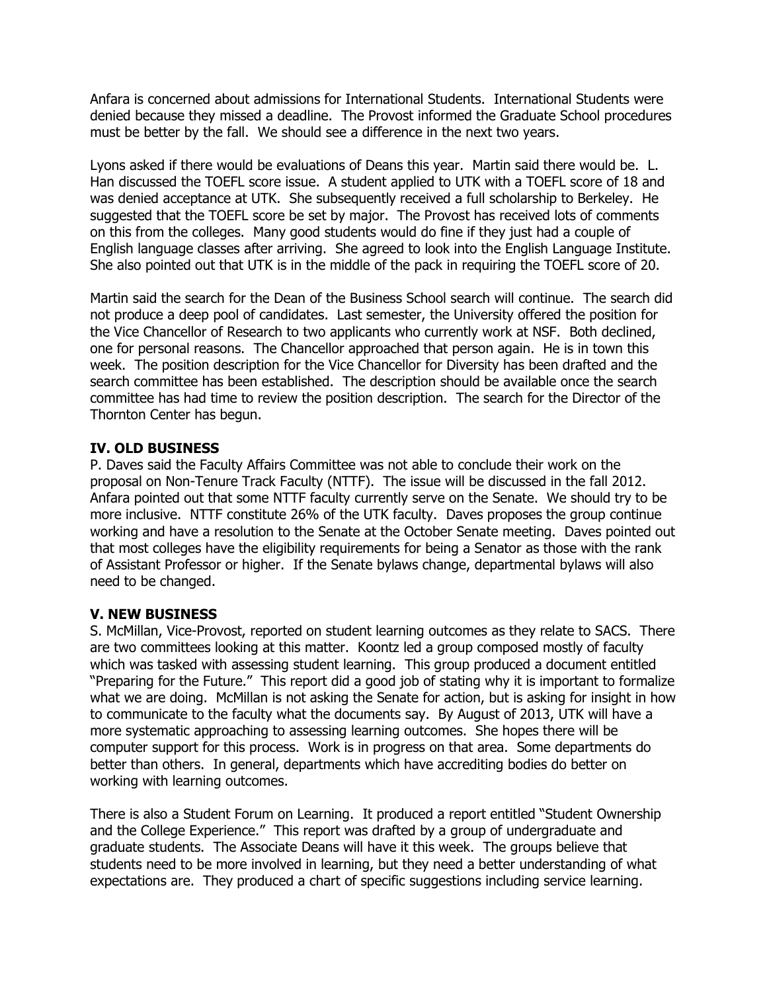Anfara is concerned about admissions for International Students. International Students were denied because they missed a deadline. The Provost informed the Graduate School procedures must be better by the fall. We should see a difference in the next two years.

Lyons asked if there would be evaluations of Deans this year. Martin said there would be. L. Han discussed the TOEFL score issue. A student applied to UTK with a TOEFL score of 18 and was denied acceptance at UTK. She subsequently received a full scholarship to Berkeley. He suggested that the TOEFL score be set by major. The Provost has received lots of comments on this from the colleges. Many good students would do fine if they just had a couple of English language classes after arriving. She agreed to look into the English Language Institute. She also pointed out that UTK is in the middle of the pack in requiring the TOEFL score of 20.

Martin said the search for the Dean of the Business School search will continue. The search did not produce a deep pool of candidates. Last semester, the University offered the position for the Vice Chancellor of Research to two applicants who currently work at NSF. Both declined, one for personal reasons. The Chancellor approached that person again. He is in town this week. The position description for the Vice Chancellor for Diversity has been drafted and the search committee has been established. The description should be available once the search committee has had time to review the position description. The search for the Director of the Thornton Center has begun.

## **IV. OLD BUSINESS**

P. Daves said the Faculty Affairs Committee was not able to conclude their work on the proposal on Non-Tenure Track Faculty (NTTF). The issue will be discussed in the fall 2012. Anfara pointed out that some NTTF faculty currently serve on the Senate. We should try to be more inclusive. NTTF constitute 26% of the UTK faculty. Daves proposes the group continue working and have a resolution to the Senate at the October Senate meeting. Daves pointed out that most colleges have the eligibility requirements for being a Senator as those with the rank of Assistant Professor or higher. If the Senate bylaws change, departmental bylaws will also need to be changed.

# **V. NEW BUSINESS**

S. McMillan, Vice-Provost, reported on student learning outcomes as they relate to SACS. There are two committees looking at this matter. Koontz led a group composed mostly of faculty which was tasked with assessing student learning. This group produced a document entitled "Preparing for the Future." This report did a good job of stating why it is important to formalize what we are doing. McMillan is not asking the Senate for action, but is asking for insight in how to communicate to the faculty what the documents say. By August of 2013, UTK will have a more systematic approaching to assessing learning outcomes. She hopes there will be computer support for this process. Work is in progress on that area. Some departments do better than others. In general, departments which have accrediting bodies do better on working with learning outcomes.

There is also a Student Forum on Learning. It produced a report entitled "Student Ownership and the College Experience." This report was drafted by a group of undergraduate and graduate students. The Associate Deans will have it this week. The groups believe that students need to be more involved in learning, but they need a better understanding of what expectations are. They produced a chart of specific suggestions including service learning.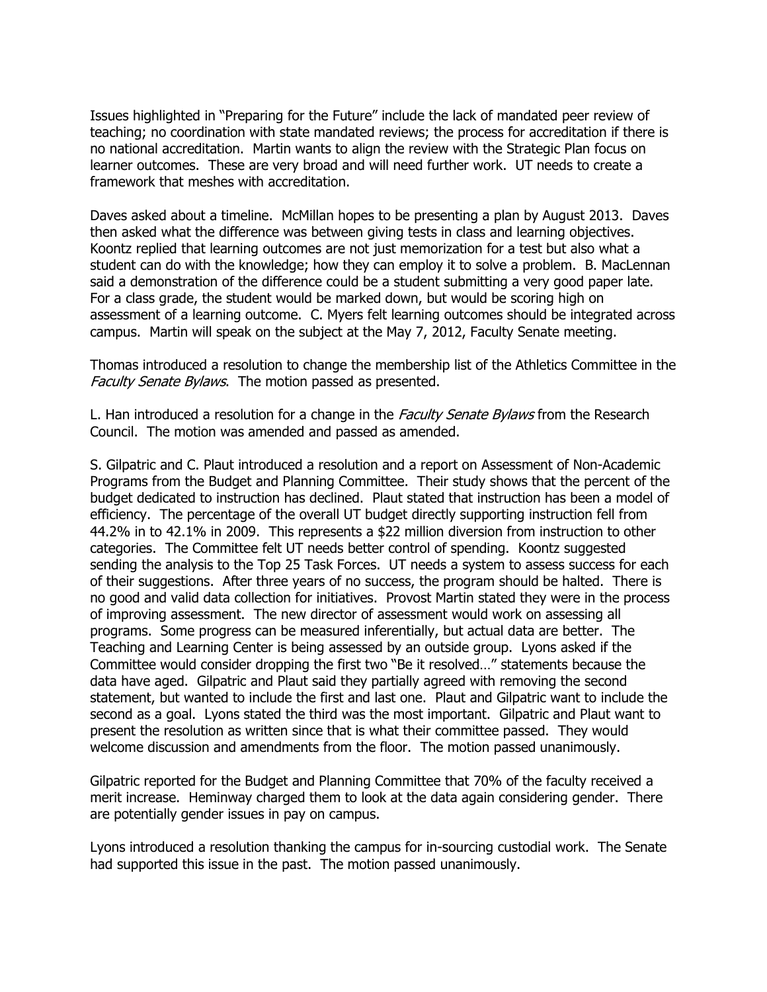Issues highlighted in "Preparing for the Future" include the lack of mandated peer review of teaching; no coordination with state mandated reviews; the process for accreditation if there is no national accreditation. Martin wants to align the review with the Strategic Plan focus on learner outcomes. These are very broad and will need further work. UT needs to create a framework that meshes with accreditation.

Daves asked about a timeline. McMillan hopes to be presenting a plan by August 2013. Daves then asked what the difference was between giving tests in class and learning objectives. Koontz replied that learning outcomes are not just memorization for a test but also what a student can do with the knowledge; how they can employ it to solve a problem. B. MacLennan said a demonstration of the difference could be a student submitting a very good paper late. For a class grade, the student would be marked down, but would be scoring high on assessment of a learning outcome. C. Myers felt learning outcomes should be integrated across campus. Martin will speak on the subject at the May 7, 2012, Faculty Senate meeting.

Thomas introduced a resolution to change the membership list of the Athletics Committee in the Faculty Senate Bylaws. The motion passed as presented.

L. Han introduced a resolution for a change in the *Faculty Senate Bylaws* from the Research Council. The motion was amended and passed as amended.

S. Gilpatric and C. Plaut introduced a resolution and a report on Assessment of Non-Academic Programs from the Budget and Planning Committee. Their study shows that the percent of the budget dedicated to instruction has declined. Plaut stated that instruction has been a model of efficiency. The percentage of the overall UT budget directly supporting instruction fell from 44.2% in to 42.1% in 2009. This represents a \$22 million diversion from instruction to other categories. The Committee felt UT needs better control of spending. Koontz suggested sending the analysis to the Top 25 Task Forces. UT needs a system to assess success for each of their suggestions. After three years of no success, the program should be halted. There is no good and valid data collection for initiatives. Provost Martin stated they were in the process of improving assessment. The new director of assessment would work on assessing all programs. Some progress can be measured inferentially, but actual data are better. The Teaching and Learning Center is being assessed by an outside group. Lyons asked if the Committee would consider dropping the first two "Be it resolved…" statements because the data have aged. Gilpatric and Plaut said they partially agreed with removing the second statement, but wanted to include the first and last one. Plaut and Gilpatric want to include the second as a goal. Lyons stated the third was the most important. Gilpatric and Plaut want to present the resolution as written since that is what their committee passed. They would welcome discussion and amendments from the floor. The motion passed unanimously.

Gilpatric reported for the Budget and Planning Committee that 70% of the faculty received a merit increase. Heminway charged them to look at the data again considering gender. There are potentially gender issues in pay on campus.

Lyons introduced a resolution thanking the campus for in-sourcing custodial work. The Senate had supported this issue in the past. The motion passed unanimously.